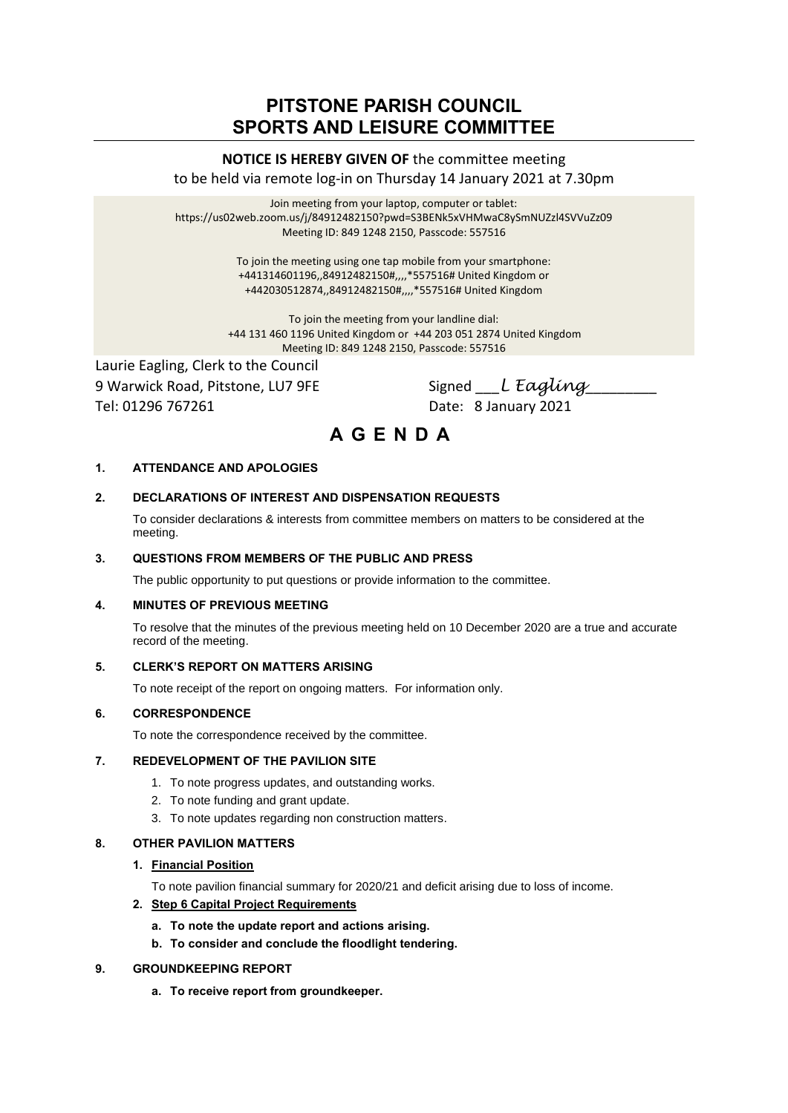## **PITSTONE PARISH COUNCIL SPORTS AND LEISURE COMMITTEE**

## **NOTICE IS HEREBY GIVEN OF** the committee meeting to be held via remote log-in on Thursday 14 January 2021 at 7.30pm

Join meeting from your laptop, computer or tablet: https://us02web.zoom.us/j/84912482150?pwd=S3BENk5xVHMwaC8ySmNUZzl4SVVuZz09 Meeting ID: 849 1248 2150, Passcode: 557516

> To join the meeting using one tap mobile from your smartphone: +441314601196,,84912482150#,,,,\*557516# United Kingdom or +442030512874,,84912482150#,,,,\*557516# United Kingdom

To join the meeting from your landline dial: +44 131 460 1196 United Kingdom or +44 203 051 2874 United Kingdom Meeting ID: 849 1248 2150, Passcode: 557516

Laurie Eagling, Clerk to the Council 9 Warwick Road, Pitstone, LU7 9FE Signed L Eagling Tel: 01296 767261 Date: 8 January 2021

# **A G E N D A**

## **1. ATTENDANCE AND APOLOGIES**

### **2. DECLARATIONS OF INTEREST AND DISPENSATION REQUESTS**

To consider declarations & interests from committee members on matters to be considered at the meeting.

#### **3. QUESTIONS FROM MEMBERS OF THE PUBLIC AND PRESS**

The public opportunity to put questions or provide information to the committee.

#### **4. MINUTES OF PREVIOUS MEETING**

To resolve that the minutes of the previous meeting held on 10 December 2020 are a true and accurate record of the meeting.

#### **5. CLERK'S REPORT ON MATTERS ARISING**

To note receipt of the report on ongoing matters. For information only.

#### **6. CORRESPONDENCE**

To note the correspondence received by the committee.

### **7. REDEVELOPMENT OF THE PAVILION SITE**

- 1. To note progress updates, and outstanding works.
- 2. To note funding and grant update.
- 3. To note updates regarding non construction matters.

#### **8. OTHER PAVILION MATTERS**

#### **1. Financial Position**

To note pavilion financial summary for 2020/21 and deficit arising due to loss of income.

#### **2. Step 6 Capital Project Requirements**

- **a. To note the update report and actions arising.**
- **b. To consider and conclude the floodlight tendering.**

#### **9. GROUNDKEEPING REPORT**

**a. To receive report from groundkeeper.**